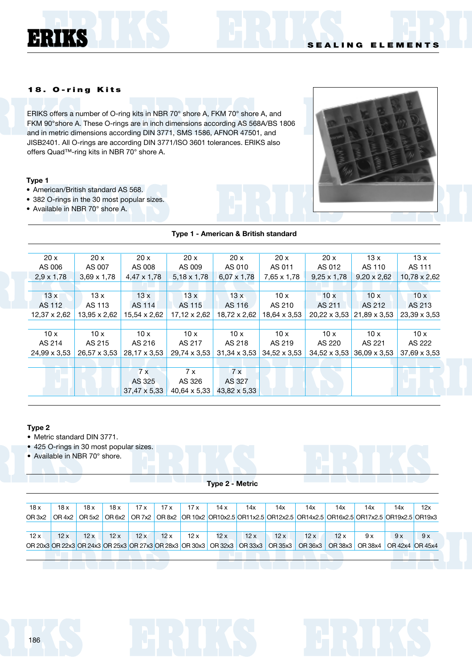ERIKS

ERIKS offers a number of O-ring kits in NBR 70° shore A, FKM 70° shore A, and FKM 90°shore A. These O-rings are in inch dimensions according AS 568A/BS 1806 and in metric dimensions according DIN 3771, SMS 1586, AFNOR 47501, and JISB2401. All O-rings are according DIN 3771/ISO 3601 tolerances. ERIKS also offers Quad™-ring kits in NBR 70° shore A.

### **Type 1**

- American/British standard AS 568.
- 382 O-rings in the 30 most popular sizes.
- Available in NBR 70° shore A.



### **Type 1 - American & British standard**

| 20x               | 20x                | 20x                 | 20x                | 20x                 | 20x                 | 20x                 | 13x                 | 13x                 |
|-------------------|--------------------|---------------------|--------------------|---------------------|---------------------|---------------------|---------------------|---------------------|
| AS 006            | AS 007             | AS 008              | AS 009             | AS 010              | AS 011              | AS 012              | AS 110              | AS 111              |
| $2.9 \times 1.78$ | $3,69 \times 1,78$ | 4,47 x 1,78         | $5,18 \times 1,78$ | $6.07 \times 1.78$  | 7,65 x 1,78         | $9,25 \times 1,78$  | $9,20 \times 2,62$  | $10,78 \times 2,62$ |
|                   |                    |                     |                    |                     |                     |                     |                     |                     |
| 13x               | 13x                | 13x                 | 13x                | 13x                 | 10x                 | 10x                 | 10x                 | 10x                 |
| AS 112            | AS 113             | AS 114              | AS 115             | AS 116              | AS 210              | AS 211              | AS 212              | AS 213              |
| 12,37 x 2,62      | 13,95 x 2,62       | 15,54 x 2,62        | 17,12 x 2,62       | 18,72 x 2,62        | 18,64 x 3,53        | 20,22 x 3,53        | 21,89 x 3,53        | 23,39 x 3,53        |
|                   |                    |                     |                    |                     |                     |                     |                     |                     |
| 10x               | 10x                | 10x                 | 10x                | 10x                 | 10x                 | 10x                 | 10x                 | 10x                 |
| AS 214            | AS 215             | AS 216              | AS 217             | AS 218              | AS 219              | AS 220              | AS 221              | AS 222              |
| 24,99 x 3,53      | 26,57 x 3,53       | 28,17 x 3,53        | 29,74 x 3,53       | $31,34 \times 3,53$ | $34,52 \times 3,53$ | $34,52 \times 3,53$ | $36,09 \times 3,53$ | 37,69 x 3,53        |
|                   |                    |                     |                    |                     |                     |                     |                     |                     |
|                   |                    | 7x                  | 7x                 | 7x                  |                     |                     |                     |                     |
|                   |                    | AS 325              | AS 326             | AS 327              |                     |                     |                     |                     |
|                   |                    | $37,47 \times 5,33$ | 40,64 x 5,33       | 43,82 x 5,33        |                     |                     |                     |                     |

#### **Type 2**

- Metric standard DIN 3771.
- 425 O-rings in 30 most popular sizes.
- Available in NBR 70° shore.

### **Type 2 - Metric**

| OR 7x2 OR 8x2 OR 10x2 OR10x2.5 OR11x2.5 OR12x2.5 OR14x2.5 OR16x2.5 OR17x2.5 OR19x2.5 OR19x3<br>OR <sub>3x2</sub><br>OR 5x2<br>OR 6x2<br>OR 4x2 |     | 14x | 14x | 14x | 14x | 14x | 14x | 17x | 17 x | 17x | 18 x | 18 x | 18 x | 18x |
|------------------------------------------------------------------------------------------------------------------------------------------------|-----|-----|-----|-----|-----|-----|-----|-----|------|-----|------|------|------|-----|
|                                                                                                                                                |     |     |     |     |     |     |     |     |      |     |      |      |      |     |
|                                                                                                                                                |     |     |     |     |     |     |     |     |      |     |      |      |      |     |
| 12x<br>12x<br>12x<br>12x<br>12x<br>12x<br>12x<br>12x<br>12x<br>12x<br>12x<br>12x<br>9 x<br>9x                                                  | 9 x |     |     |     |     |     |     |     |      |     |      |      |      |     |
| OR 20x3 OR 22x3 OR 24x3 OR 25x3 OR 27x3 OR 28x3 OR 30x3 OR 32x3 OR 33x3<br>OR 35x3<br>OR 36x3<br>OR 38x3<br>OR 38x4<br>OR 42x4 OR 45x4         |     |     |     |     |     |     |     |     |      |     |      |      |      |     |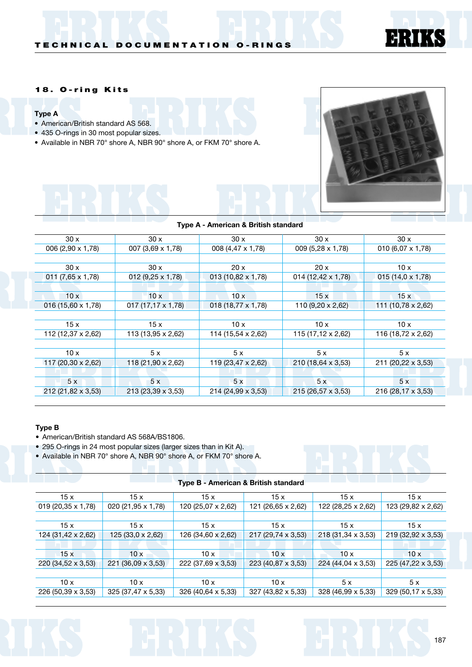

### **Type A**

- American/British standard AS 568.
- 435 O-rings in 30 most popular sizes.
- Available in NBR 70° shore A, NBR 90° shore A, or FKM 70° shore A.



EHR

K n

| Type A - American & British standard |  |
|--------------------------------------|--|
|                                      |  |

| 30x                      | 30x                      | 30x                      | 30x                       | 30x                |
|--------------------------|--------------------------|--------------------------|---------------------------|--------------------|
| 006 (2,90 x 1,78)        | 007 (3,69 x 1,78)        | 008 (4,47 x 1,78)        | 009 (5,28 x 1,78)         | 010 (6,07 x 1,78)  |
|                          |                          |                          |                           |                    |
| 30x                      | 30x                      | 20x                      | 20x                       | 10x                |
| $011(7,65 \times 1,78)$  | 012 (9,25 x 1,78)        | 013 (10,82 x 1,78)       | 014 (12,42 x 1,78)        | 015 (14,0 x 1,78)  |
|                          |                          |                          |                           |                    |
| 10x                      | 10x                      | 10x                      | 15x                       | 15x                |
| $016(15,60 \times 1,78)$ | $017(17,17 \times 1,78)$ | $018(18,77 \times 1,78)$ | 110 $(9.20 \times 2.62)$  | 111 (10,78 x 2,62) |
|                          |                          |                          |                           |                    |
| 15x                      | 15x                      | 10x                      | 10x                       | 10x                |
| 112 (12,37 x 2,62)       | 113 (13,95 x 2,62)       | 114 (15,54 x 2,62)       | 115 (17,12 $\times$ 2,62) | 116 (18,72 x 2,62) |
|                          |                          |                          |                           |                    |
| 10x                      | 5x                       | 5x                       | 5x                        | 5x                 |
| 117 (20,30 x 2,62)       | 118 (21,90 x 2,62)       | 119 (23,47 x 2,62)       | 210 (18,64 x 3,53)        | 211 (20,22 x 3,53) |
|                          |                          |                          |                           |                    |
| 5x                       | 5x                       | 5x                       | 5x                        | 5x                 |
| 212 (21,82 x 3,53)       | 213 (23,39 x 3,53)       | 214 (24,99 x 3,53)       | 215 (26,57 x 3,53)        | 216 (28,17 x 3,53) |

### **Type B**

- American/British standard AS 568A/BS1806.
- 295 O-rings in 24 most popular sizes (larger sizes than in Kit A).
- Available in NBR 70° shore A, NBR 90° shore A, or FKM 70° shore A.

|                          |                    | $\sim$ , and $\sim$ . The state of $\sim$ . The state of $\sim$ |                    |                    |                    |
|--------------------------|--------------------|-----------------------------------------------------------------|--------------------|--------------------|--------------------|
| 15x                      | 15x                | 15x                                                             | 15x                | 15x                | 15x                |
| $019(20,35 \times 1,78)$ | 020 (21,95 x 1,78) | 120 (25,07 x 2,62)                                              | 121 (26,65 x 2,62) | 122 (28,25 x 2,62) | 123 (29,82 x 2,62) |
|                          |                    |                                                                 |                    |                    |                    |
| 15x                      | 15 x               | 15x                                                             | 15x                | 15x                | 15x                |
| 124 (31,42 x 2,62)       | 125 (33,0 x 2,62)  | 126 (34,60 x 2,62)                                              | 217 (29,74 x 3,53) | 218 (31,34 x 3,53) | 219 (32,92 x 3,53) |
|                          |                    |                                                                 |                    |                    |                    |
| 15x                      | 10x                | 10x                                                             | 10x                | 10x                | 10x                |
| 220 (34,52 x 3,53)       | 221 (36,09 x 3,53) | 222 (37,69 x 3,53)                                              | 223 (40,87 x 3,53) | 224 (44,04 x 3,53) | 225 (47,22 x 3,53) |
|                          |                    |                                                                 |                    |                    |                    |
| 10x                      | 10x                | 10x                                                             | 10x                | 5x                 | 5x                 |
| 226 (50,39 x 3,53)       | 325 (37,47 x 5,33) | 326 (40,64 x 5,33)                                              | 327 (43,82 x 5,33) | 328 (46,99 x 5,33) | 329 (50,17 x 5,33) |

# **Type B - American & British standard**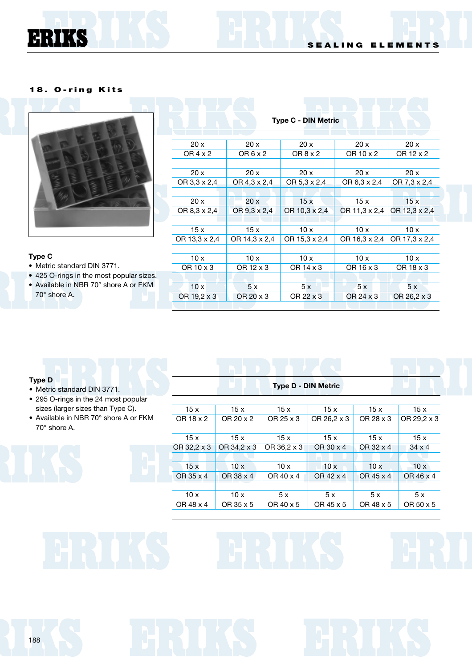ERIKS



## **Type C**

- Metric standard DIN 3771.
- 425 O-rings in the most popular sizes.
- Available in NBR 70° shore A or FKM 70° shore A.

| <b>Type C - DIN Metric</b> |                 |               |               |               |  |  |
|----------------------------|-----------------|---------------|---------------|---------------|--|--|
|                            |                 |               |               |               |  |  |
| 20x                        | 20x             | 20x           | 20x           | 20x           |  |  |
| OR 4 x 2                   | OR $6 \times 2$ | OR 8 x 2      | OR 10 x 2     | OR 12 x 2     |  |  |
|                            |                 |               |               |               |  |  |
| 20x                        | 20x             | 20x           | 20x           | 20x           |  |  |
| OR 3,3 x 2,4               | OR 4,3 x 2,4    | OR 5.3 x 2.4  | OR 6,3 x 2,4  | OR 7,3 x 2,4  |  |  |
|                            |                 |               |               |               |  |  |
| 20x                        | 20x             | 15x           | 15x           | 15x           |  |  |
| OR 8,3 x 2,4               | OR 9.3 x 2.4    | OR 10.3 x 2.4 | OR 11,3 x 2,4 | OR 12.3 x 2.4 |  |  |
|                            |                 |               |               |               |  |  |
| 15x                        | 15 x            | 10x           | 10x           | 10x           |  |  |
| OR 13,3 x 2,4              | OR 14,3 x 2,4   | OR 15,3 x 2,4 | OR 16,3 x 2,4 | OR 17,3 x 2,4 |  |  |
|                            |                 |               |               |               |  |  |
| 10x                        | 10x             | 10x           | 10x           | 10x           |  |  |
| OR 10 x 3                  | OR 12 x 3       | OR 14 x 3     | OR 16 x 3     | OR 18 x 3     |  |  |
|                            |                 |               |               |               |  |  |
| 10x                        | 5x              | 5x            | 5x            | 5x            |  |  |
| OR 19,2 x 3                | OR 20 x 3       | OR 22 x 3     | OR 24 x 3     | OR 26,2 x 3   |  |  |

#### **Type D**

- Metric standard DIN 3771.
- 295 O-rings in the 24 most popular sizes (larger sizes than Type C).
- Available in NBR 70° shore A or FKM 70° shore A.

|  |  |  | <b>Type D - DIN Metric</b> |
|--|--|--|----------------------------|
|--|--|--|----------------------------|

| 15x         | 15x         | 15x         | 15x         | 15x       | 15x           |
|-------------|-------------|-------------|-------------|-----------|---------------|
| OR 18 x 2   | OR 20 x 2   | OR 25 x 3   | OR 26,2 x 3 | OR 28 x 3 | OR 29,2 x 3   |
|             |             |             |             |           |               |
| 15x         | 15x         | 15x         | 15x         | 15x       | 15x           |
| OR 32,2 x 3 | OR 34,2 x 3 | OR 36,2 x 3 | OR 30 x 4   | OR 32 x 4 | $34 \times 4$ |
|             |             |             |             |           |               |
| 15x         | 10x         | 10x         | 10x         | 10x       | 10x           |
| OR 35 x 4   | OR 38 x 4   | OR 40 x 4   | OR 42 x 4   | OR 45 x 4 | OR 46 x 4     |
|             |             |             |             |           |               |
| 10x         | 10x         | 5x          | 5x          | 5x        | 5x            |
| OR 48 x 4   | OR 35 x 5   | OR 40 x 5   | OR 45 x 5   | OR 48 x 5 | OR 50 x 5     |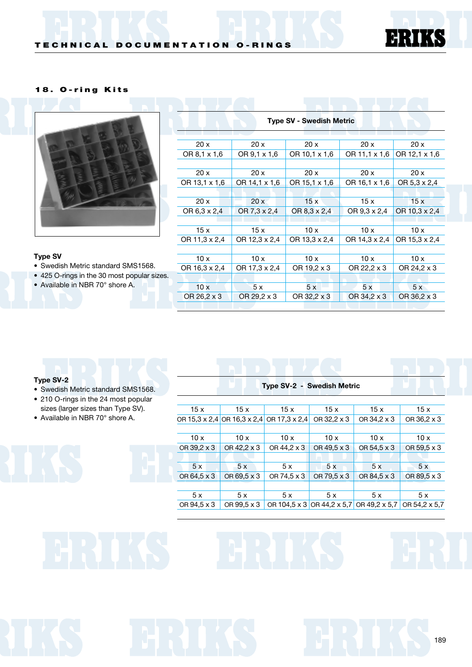



### **Type SV**

- Swedish Metric standard SMS1568.
- 425 O-rings in the 30 most popular sizes.
- Available in NBR 70° shore A.

| <b>Type SV - Swedish Metric</b> |               |               |               |               |  |  |
|---------------------------------|---------------|---------------|---------------|---------------|--|--|
|                                 |               |               |               |               |  |  |
| 20x                             | 20x           | 20x           | 20x           | 20x           |  |  |
| OR 8,1 x 1,6                    | OR 9,1 x 1,6  | OR 10,1 x 1,6 | OR 11.1 x 1.6 | OR 12,1 x 1,6 |  |  |
|                                 |               |               |               |               |  |  |
| 20x                             | 20x           | 20x           | 20x           | 20x           |  |  |
| OR 13,1 x 1,6                   | OR 14,1 x 1,6 | OR 15.1 x 1.6 | OR 16,1 x 1,6 | OR 5.3 x 2.4  |  |  |
|                                 |               |               |               |               |  |  |
| 20x                             | 20x           | 15x           | 15x           | 15x           |  |  |
| OR 6,3 x 2,4                    | OR 7,3 x 2,4  | OR 8,3 x 2,4  | OR 9,3 x 2,4  | OR 10.3 x 2.4 |  |  |
|                                 |               |               |               |               |  |  |
| 15x                             | 15 x          | 10x           | 10x           | 10x           |  |  |
| OR 11,3 x 2,4                   | OR 12,3 x 2,4 | OR 13.3 x 2.4 | OR 14,3 x 2,4 | OR 15,3 x 2,4 |  |  |
|                                 |               |               |               |               |  |  |
| 10x                             | 10x           | 10x           | 10x           | 10x           |  |  |
| OR 16,3 x 2,4                   | OR 17,3 x 2,4 | OR 19,2 x 3   | OR 22,2 x 3   | OR 24,2 x 3   |  |  |
|                                 |               |               |               |               |  |  |
| 10x                             | 5 x           | 5x            | 5x            | 5x            |  |  |
| OR 26,2 x 3                     | OR 29.2 x 3   | OR 32,2 x 3   | OR 34,2 x 3   | OR 36,2 x 3   |  |  |
|                                 |               |               |               |               |  |  |

### **Type SV-2**

- Swedish Metric standard SMS1568.
- 210 O-rings in the 24 most popular sizes (larger sizes than Type SV).
- Available in NBR 70° shore A.

**Type SV-2 - Swedish Metric** 15 x 15 x 15 x 15 x 15 x 15 x 15 x OR 15,3 x 2,4 OR 16,3 x 2,4 OR 17,3 x 2,4 OR 32,2 x 3 OR 34,2 x 3 OR 36,2 x 3 10 x 10 x 10 x 10 x 10 x 10 x 10 x OR 39,2 x 3 OR 42,2 x 3 OR 44,2 x 3 OR 49,5 x 3 OR 54,5 x 3 OR 59,5 x 3 5 x 5 x 5 x 5 x 5 x 5 x 5 x OR 64,5 x 3 OR 69,5 x 3 OR 74,5 x 3 OR 79,5 x 3 OR 84,5 x 3 OR 89,5 x 3 5 x 5 x 5 x 5 x 5 x 5 x 5 x OR 94,5 x 3 OR 99,5 x 3 OR 104,5 x 3 OR 44,2 x 5,7 OR 49,2 x 5,7 OR 54,2 x 5,7